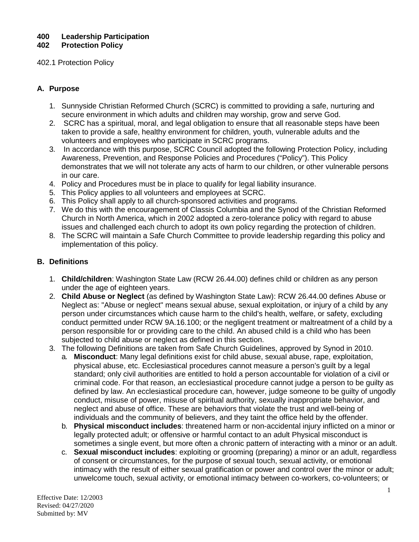# **400 Leadership Participation**

**402 Protection Policy**

## 402.1 Protection Policy

## **A. Purpose**

- 1. Sunnyside Christian Reformed Church (SCRC) is committed to providing a safe, nurturing and secure environment in which adults and children may worship, grow and serve God.
- 2. SCRC has a spiritual, moral, and legal obligation to ensure that all reasonable steps have been taken to provide a safe, healthy environment for children, youth, vulnerable adults and the volunteers and employees who participate in SCRC programs.
- 3. In accordance with this purpose, SCRC Council adopted the following Protection Policy, including Awareness, Prevention, and Response Policies and Procedures ("Policy"). This Policy demonstrates that we will not tolerate any acts of harm to our children, or other vulnerable persons in our care.
- 4. Policy and Procedures must be in place to qualify for legal liability insurance.
- 5. This Policy applies to all volunteers and employees at SCRC.
- 6. This Policy shall apply to all church-sponsored activities and programs.
- 7. We do this with the encouragement of Classis Columbia and the Synod of the Christian Reformed Church in North America, which in 2002 adopted a zero-tolerance policy with regard to abuse issues and challenged each church to adopt its own policy regarding the protection of children.
- 8. The SCRC will maintain a Safe Church Committee to provide leadership regarding this policy and implementation of this policy.

## **B. Definitions**

- 1. **Child/children**: Washington State Law (RCW 26.44.00) defines child or children as any person under the age of eighteen years.
- 2. **Child Abuse or Neglect** (as defined by Washington State Law): RCW 26.44.00 defines Abuse or Neglect as: "Abuse or neglect" means sexual abuse, sexual exploitation, or injury of a child by any person under circumstances which cause harm to the child's health, welfare, or safety, excluding conduct permitted under RCW 9A.16.100; or the negligent treatment or maltreatment of a child by a person responsible for or providing care to the child. An abused child is a child who has been subjected to child abuse or neglect as defined in this section.
- 3. The following Definitions are taken from Safe Church Guidelines, approved by Synod in 2010.
	- a. **Misconduct**: Many legal definitions exist for child abuse, sexual abuse, rape, exploitation, physical abuse, etc. Ecclesiastical procedures cannot measure a person's guilt by a legal standard; only civil authorities are entitled to hold a person accountable for violation of a civil or criminal code. For that reason, an ecclesiastical procedure cannot judge a person to be guilty as defined by law. An ecclesiastical procedure can, however, judge someone to be guilty of ungodly conduct, misuse of power, misuse of spiritual authority, sexually inappropriate behavior, and neglect and abuse of office. These are behaviors that violate the trust and well-being of individuals and the community of believers, and they taint the office held by the offender.
		- b. **Physical misconduct includes**: threatened harm or non-accidental injury inflicted on a minor or legally protected adult; or offensive or harmful contact to an adult Physical misconduct is sometimes a single event, but more often a chronic pattern of interacting with a minor or an adult.
		- c. **Sexual misconduct includes**: exploiting or grooming (preparing) a minor or an adult, regardless of consent or circumstances, for the purpose of sexual touch, sexual activity, or emotional intimacy with the result of either sexual gratification or power and control over the minor or adult; unwelcome touch, sexual activity, or emotional intimacy between co-workers, co-volunteers; or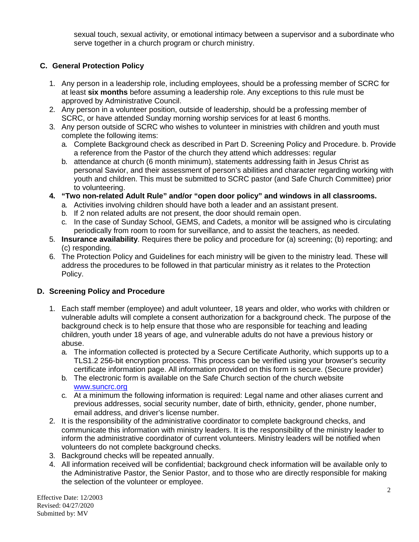sexual touch, sexual activity, or emotional intimacy between a supervisor and a subordinate who serve together in a church program or church ministry.

# **C. General Protection Policy**

- 1. Any person in a leadership role, including employees, should be a professing member of SCRC for at least **six months** before assuming a leadership role. Any exceptions to this rule must be approved by Administrative Council.
- 2. Any person in a volunteer position, outside of leadership, should be a professing member of SCRC, or have attended Sunday morning worship services for at least 6 months.
- 3. Any person outside of SCRC who wishes to volunteer in ministries with children and youth must complete the following items:
	- a. Complete Background check as described in Part D. Screening Policy and Procedure. b. Provide a reference from the Pastor of the church they attend which addresses: regular
	- b. attendance at church (6 month minimum), statements addressing faith in Jesus Christ as personal Savior, and their assessment of person's abilities and character regarding working with youth and children. This must be submitted to SCRC pastor (and Safe Church Committee) prior to volunteering.
- **4. "Two non-related Adult Rule" and/or "open door policy" and windows in all classrooms.**
	- a. Activities involving children should have both a leader and an assistant present.
	- b. If 2 non related adults are not present, the door should remain open.
	- c. In the case of Sunday School, GEMS, and Cadets, a monitor will be assigned who is circulating periodically from room to room for surveillance, and to assist the teachers, as needed.
- 5. **Insurance availability**. Requires there be policy and procedure for (a) screening; (b) reporting; and (c) responding.
- 6. The Protection Policy and Guidelines for each ministry will be given to the ministry lead. These will address the procedures to be followed in that particular ministry as it relates to the Protection Policy.

# **D. Screening Policy and Procedure**

- 1. Each staff member (employee) and adult volunteer, 18 years and older, who works with children or vulnerable adults will complete a consent authorization for a background check. The purpose of the background check is to help ensure that those who are responsible for teaching and leading children, youth under 18 years of age, and vulnerable adults do not have a previous history or abuse.
	- a. The information collected is protected by a Secure Certificate Authority, which supports up to a TLS1.2 256-bit encryption process. This process can be verified using your browser's security certificate information page. All information provided on this form is secure. (Secure provider)
	- b. The electronic form is available on the Safe Church section of the church website [www.suncrc.org](http://www.suncrc.org/)
	- c. At a minimum the following information is required: Legal name and other aliases current and previous addresses, social security number, date of birth, ethnicity, gender, phone number, email address, and driver's license number.
- 2. It is the responsibility of the administrative coordinator to complete background checks, and communicate this information with ministry leaders. It is the responsibility of the ministry leader to inform the administrative coordinator of current volunteers. Ministry leaders will be notified when volunteers do not complete background checks.
- 3. Background checks will be repeated annually.
- 4. All information received will be confidential; background check information will be available only to the Administrative Pastor, the Senior Pastor, and to those who are directly responsible for making the selection of the volunteer or employee.

Effective Date: 12/2003 Revised: 04/27/2020 Submitted by: MV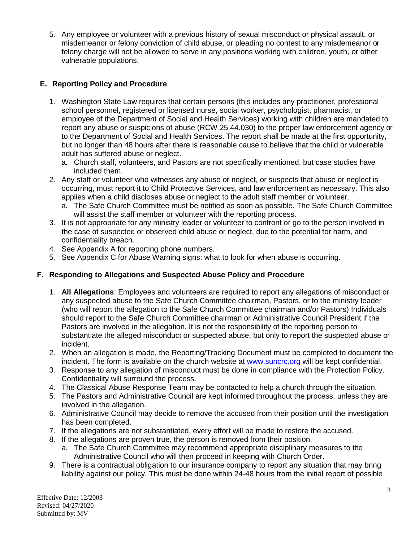5. Any employee or volunteer with a previous history of sexual misconduct or physical assault, or misdemeanor or felony conviction of child abuse, or pleading no contest to any misdemeanor or felony charge will not be allowed to serve in any positions working with children, youth, or other vulnerable populations.

## **E. Reporting Policy and Procedure**

- 1. Washington State Law requires that certain persons (this includes any practitioner, professional school personnel, registered or licensed nurse, social worker, psychologist, pharmacist, or employee of the Department of Social and Health Services) working with children are mandated to report any abuse or suspicions of abuse (RCW 25.44.030) to the proper law enforcement agency or to the Department of Social and Health Services. The report shall be made at the first opportunity, but no longer than 48 hours after there is reasonable cause to believe that the child or vulnerable adult has suffered abuse or neglect.
	- a. Church staff, volunteers, and Pastors are not specifically mentioned, but case studies have included them.
- 2. Any staff or volunteer who witnesses any abuse or neglect, or suspects that abuse or neglect is occurring, must report it to Child Protective Services, and law enforcement as necessary. This also applies when a child discloses abuse or neglect to the adult staff member or volunteer.
	- a. The Safe Church Committee must be notified as soon as possible. The Safe Church Committee will assist the staff member or volunteer with the reporting process.
- 3. It is not appropriate for any ministry leader or volunteer to confront or go to the person involved in the case of suspected or observed child abuse or neglect, due to the potential for harm, and confidentiality breach.
- 4. See Appendix A for reporting phone numbers.
- 5. See Appendix C for Abuse Warning signs: what to look for when abuse is occurring.

## **F. Responding to Allegations and Suspected Abuse Policy and Procedure**

- 1. **All Allegations**: Employees and volunteers are required to report any allegations of misconduct or any suspected abuse to the Safe Church Committee chairman, Pastors, or to the ministry leader (who will report the allegation to the Safe Church Committee chairman and/or Pastors) Individuals should report to the Safe Church Committee chairman or Administrative Council President if the Pastors are involved in the allegation. It is not the responsibility of the reporting person to substantiate the alleged misconduct or suspected abuse, but only to report the suspected abuse or incident.
- 2. When an allegation is made, the Reporting/Tracking Document must be completed to document the incident. The form is available on the church website at [www.suncrc.org](http://www.suncrc.org/) will be kept confidential.
- 3. Response to any allegation of misconduct must be done in compliance with the Protection Policy. Confidentiality will surround the process.
- 4. The Classical Abuse Response Team may be contacted to help a church through the situation.
- 5. The Pastors and Administrative Council are kept informed throughout the process, unless they are involved in the allegation.
- 6. Administrative Council may decide to remove the accused from their position until the investigation has been completed.
- 7. If the allegations are not substantiated, every effort will be made to restore the accused.
- 8. If the allegations are proven true, the person is removed from their position.
	- a. The Safe Church Committee may recommend appropriate disciplinary measures to the Administrative Council who will then proceed in keeping with Church Order.
- 9. There is a contractual obligation to our insurance company to report any situation that may bring liability against our policy. This must be done within 24-48 hours from the initial report of possible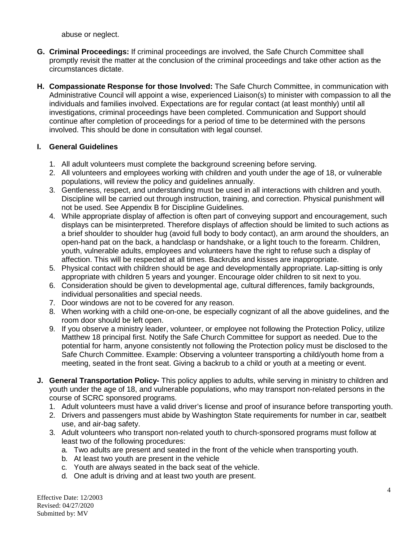abuse or neglect.

- **G. Criminal Proceedings:** If criminal proceedings are involved, the Safe Church Committee shall promptly revisit the matter at the conclusion of the criminal proceedings and take other action as the circumstances dictate.
- **H. Compassionate Response for those Involved:** The Safe Church Committee, in communication with Administrative Council will appoint a wise, experienced Liaison(s) to minister with compassion to all the individuals and families involved. Expectations are for regular contact (at least monthly) until all investigations, criminal proceedings have been completed. Communication and Support should continue after completion of proceedings for a period of time to be determined with the persons involved. This should be done in consultation with legal counsel.

## **I. General Guidelines**

- 1. All adult volunteers must complete the background screening before serving.
- 2. All volunteers and employees working with children and youth under the age of 18, or vulnerable populations, will review the policy and guidelines annually.
- 3. Gentleness, respect, and understanding must be used in all interactions with children and youth. Discipline will be carried out through instruction, training, and correction. Physical punishment will not be used. See Appendix B for Discipline Guidelines.
- 4. While appropriate display of affection is often part of conveying support and encouragement, such displays can be misinterpreted. Therefore displays of affection should be limited to such actions as a brief shoulder to shoulder hug (avoid full body to body contact), an arm around the shoulders, an open-hand pat on the back, a handclasp or handshake, or a light touch to the forearm. Children, youth, vulnerable adults, employees and volunteers have the right to refuse such a display of affection. This will be respected at all times. Backrubs and kisses are inappropriate.
- 5. Physical contact with children should be age and developmentally appropriate. Lap-sitting is only appropriate with children 5 years and younger. Encourage older children to sit next to you.
- 6. Consideration should be given to developmental age, cultural differences, family backgrounds, individual personalities and special needs.
- 7. Door windows are not to be covered for any reason.
- 8. When working with a child one-on-one, be especially cognizant of all the above guidelines, and the room door should be left open.
- 9. If you observe a ministry leader, volunteer, or employee not following the Protection Policy, utilize Matthew 18 principal first. Notify the Safe Church Committee for support as needed. Due to the potential for harm, anyone consistently not following the Protection policy must be disclosed to the Safe Church Committee. Example: Observing a volunteer transporting a child/youth home from a meeting, seated in the front seat. Giving a backrub to a child or youth at a meeting or event.
- **J. General Transportation Policy-** This policy applies to adults, while serving in ministry to children and youth under the age of 18, and vulnerable populations, who may transport non-related persons in the course of SCRC sponsored programs.
	- 1. Adult volunteers must have a valid driver's license and proof of insurance before transporting youth.
	- 2. Drivers and passengers must abide by Washington State requirements for number in car, seatbelt use, and air-bag safety.
	- 3. Adult volunteers who transport non-related youth to church-sponsored programs must follow at least two of the following procedures:
		- a. Two adults are present and seated in the front of the vehicle when transporting youth.
		- b. At least two youth are present in the vehicle
		- c. Youth are always seated in the back seat of the vehicle.
		- d. One adult is driving and at least two youth are present.

Effective Date: 12/2003 Revised: 04/27/2020 Submitted by: MV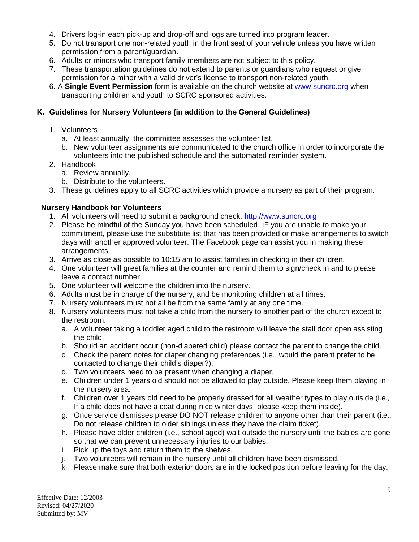- 4. Drivers log-in each pick-up and drop-off and logs are turned into program leader.
- 5. Do not transport one non-related youth in the front seat of your vehicle unless you have written permission from a parent/guardian.
- 6. Adults or minors who transport family members are not subject to this policy.
- 7. These transportation guidelines do not extend to parents or guardians who request or give permission for a minor with a valid driver's license to transport non-related youth.
- 6. A **Single Event Permission** form is available on the church website at [www.suncrc.org](http://www.suncrc.org/) when transporting children and youth to SCRC sponsored activities.

## **K. Guidelines for Nursery Volunteers (in addition to the General Guidelines)**

- 1. Volunteers
	- a. At least annually, the committee assesses the volunteer list.
	- b. New volunteer assignments are communicated to the church office in order to incorporate the volunteers into the published schedule and the automated reminder system.
- 2. Handbook
	- a. Review annually.
	- b. Distribute to the volunteers.
- 3. These guidelines apply to all SCRC activities which provide a nursery as part of their program.

## **Nursery Handbook for Volunteers**

- 1. All volunteers will need to submit a background check. [http://www.suncrc.org](http://www.suncrc.org/)
- 2. Please be mindful of the Sunday you have been scheduled. IF you are unable to make your commitment, please use the substitute list that has been provided or make arrangements to switch days with another approved volunteer. The Facebook page can assist you in making these arrangements.
- 3. Arrive as close as possible to 10:15 am to assist families in checking in their children.
- 4. One volunteer will greet families at the counter and remind them to sign/check in and to please leave a contact number.
- 5. One volunteer will welcome the children into the nursery.
- 6. Adults must be in charge of the nursery, and be monitoring children at all times.
- 7. Nursery volunteers must not all be from the same family at any one time.
- 8. Nursery volunteers must not take a child from the nursery to another part of the church except to the restroom.
	- a. A volunteer taking a toddler aged child to the restroom will leave the stall door open assisting the child.
	- b. Should an accident occur (non-diapered child) please contact the parent to change the child.
	- c. Check the parent notes for diaper changing preferences (i.e., would the parent prefer to be contacted to change their child's diaper?).
	- d. Two volunteers need to be present when changing a diaper.
	- e. Children under 1 years old should not be allowed to play outside. Please keep them playing in the nursery area.
	- f. Children over 1 years old need to be properly dressed for all weather types to play outside (i.e., If a child does not have a coat during nice winter days, please keep them inside).
	- g. Once service dismisses please DO NOT release children to anyone other than their parent (i.e., Do not release children to older siblings unless they have the claim ticket).
	- h. Please have older children (i.e., school aged) wait outside the nursery until the babies are gone so that we can prevent unnecessary injuries to our babies.
	- i. Pick up the toys and return them to the shelves.
	- j. Two volunteers will remain in the nursery until all children have been dismissed.
	- k. Please make sure that both exterior doors are in the locked position before leaving for the day.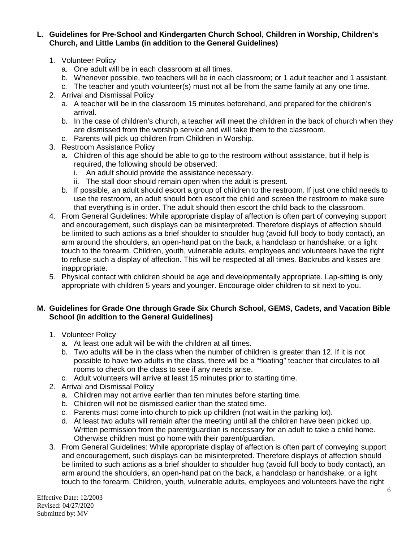**L. Guidelines for Pre-School and Kindergarten Church School, Children in Worship, Children's Church, and Little Lambs (in addition to the General Guidelines)**

- 1. Volunteer Policy
	- a. One adult will be in each classroom at all times.
	- b. Whenever possible, two teachers will be in each classroom; or 1 adult teacher and 1 assistant.
	- c. The teacher and youth volunteer(s) must not all be from the same family at any one time.
- 2. Arrival and Dismissal Policy
	- a. A teacher will be in the classroom 15 minutes beforehand, and prepared for the children's arrival.
	- b. In the case of children's church, a teacher will meet the children in the back of church when they are dismissed from the worship service and will take them to the classroom.
	- c. Parents will pick up children from Children in Worship.
- 3. Restroom Assistance Policy
	- a. Children of this age should be able to go to the restroom without assistance, but if help is required, the following should be observed:
		- i. An adult should provide the assistance necessary.
		- ii. The stall door should remain open when the adult is present.
	- b. If possible, an adult should escort a group of children to the restroom. If just one child needs to use the restroom, an adult should both escort the child and screen the restroom to make sure that everything is in order. The adult should then escort the child back to the classroom.
- 4. From General Guidelines: While appropriate display of affection is often part of conveying support and encouragement, such displays can be misinterpreted. Therefore displays of affection should be limited to such actions as a brief shoulder to shoulder hug (avoid full body to body contact), an arm around the shoulders, an open-hand pat on the back, a handclasp or handshake, or a light touch to the forearm. Children, youth, vulnerable adults, employees and volunteers have the right to refuse such a display of affection. This will be respected at all times. Backrubs and kisses are inappropriate.
- 5. Physical contact with children should be age and developmentally appropriate. Lap-sitting is only appropriate with children 5 years and younger. Encourage older children to sit next to you.

## **M. Guidelines for Grade One through Grade Six Church School, GEMS, Cadets, and Vacation Bible School (in addition to the General Guidelines)**

- 1. Volunteer Policy
	- a. At least one adult will be with the children at all times.
	- b. Two adults will be in the class when the number of children is greater than 12. If it is not possible to have two adults in the class, there will be a "floating" teacher that circulates to all rooms to check on the class to see if any needs arise.
	- c. Adult volunteers will arrive at least 15 minutes prior to starting time.
- 2. Arrival and Dismissal Policy
	- a. Children may not arrive earlier than ten minutes before starting time.
	- b. Children will not be dismissed earlier than the stated time.
	- c. Parents must come into church to pick up children (not wait in the parking lot).
	- d. At least two adults will remain after the meeting until all the children have been picked up. Written permission from the parent/guardian is necessary for an adult to take a child home. Otherwise children must go home with their parent/guardian.
- 3. From General Guidelines: While appropriate display of affection is often part of conveying support and encouragement, such displays can be misinterpreted. Therefore displays of affection should be limited to such actions as a brief shoulder to shoulder hug (avoid full body to body contact), an arm around the shoulders, an open-hand pat on the back, a handclasp or handshake, or a light touch to the forearm. Children, youth, vulnerable adults, employees and volunteers have the right

Effective Date: 12/2003 Revised: 04/27/2020 Submitted by: MV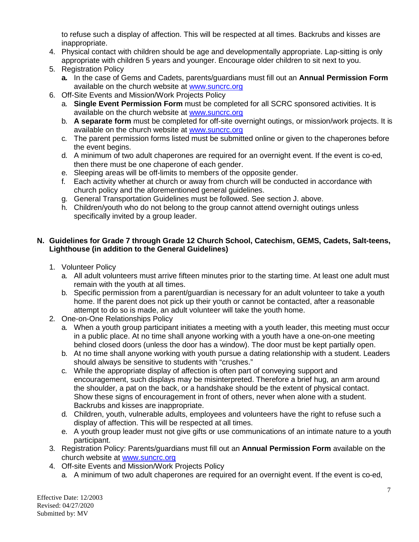to refuse such a display of affection. This will be respected at all times. Backrubs and kisses are inappropriate.

- 4. Physical contact with children should be age and developmentally appropriate. Lap-sitting is only appropriate with children 5 years and younger. Encourage older children to sit next to you.
- 5. Registration Policy
	- **a.** In the case of Gems and Cadets, parents/guardians must fill out an **Annual Permission Form** available on the church website at [www.suncrc.org](http://www.suncrc.org/)
- 6. Off-Site Events and Mission/Work Projects Policy
	- a. **Single Event Permission Form** must be completed for all SCRC sponsored activities. It is available on the church website at [www.suncrc.org](http://www.suncrc.org/)
	- b. **A separate form** must be completed for off-site overnight outings, or mission/work projects. It is available on the church website at [www.suncrc.org](http://www.suncrc.org/)
	- c. The parent permission forms listed must be submitted online or given to the chaperones before the event begins.
	- d. A minimum of two adult chaperones are required for an overnight event. If the event is co-ed, then there must be one chaperone of each gender.
	- e. Sleeping areas will be off-limits to members of the opposite gender.
	- f. Each activity whether at church or away from church will be conducted in accordance with church policy and the aforementioned general guidelines.
	- g. General Transportation Guidelines must be followed. See section J. above.
	- h. Children/youth who do not belong to the group cannot attend overnight outings unless specifically invited by a group leader.

## **N. Guidelines for Grade 7 through Grade 12 Church School, Catechism, GEMS, Cadets, Salt-teens, Lighthouse (in addition to the General Guidelines)**

- 1. Volunteer Policy
	- a. All adult volunteers must arrive fifteen minutes prior to the starting time. At least one adult must remain with the youth at all times.
	- b. Specific permission from a parent/guardian is necessary for an adult volunteer to take a youth home. If the parent does not pick up their youth or cannot be contacted, after a reasonable attempt to do so is made, an adult volunteer will take the youth home.
- 2. One-on-One Relationships Policy
	- a. When a youth group participant initiates a meeting with a youth leader, this meeting must occur in a public place. At no time shall anyone working with a youth have a one-on-one meeting behind closed doors (unless the door has a window). The door must be kept partially open.
	- b. At no time shall anyone working with youth pursue a dating relationship with a student. Leaders should always be sensitive to students with "crushes."
	- c. While the appropriate display of affection is often part of conveying support and encouragement, such displays may be misinterpreted. Therefore a brief hug, an arm around the shoulder, a pat on the back, or a handshake should be the extent of physical contact. Show these signs of encouragement in front of others, never when alone with a student. Backrubs and kisses are inappropriate.
	- d. Children, youth, vulnerable adults, employees and volunteers have the right to refuse such a display of affection. This will be respected at all times.
	- e. A youth group leader must not give gifts or use communications of an intimate nature to a youth participant.
- 3. Registration Policy: Parents/guardians must fill out an **Annual Permission Form** available on the church website at [www.suncrc.org](http://www.suncrc.org/)
- 4. Off-site Events and Mission/Work Projects Policy
	- a. A minimum of two adult chaperones are required for an overnight event. If the event is co-ed,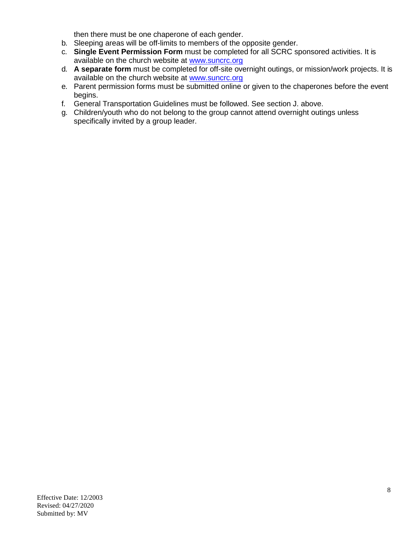then there must be one chaperone of each gender.

- b. Sleeping areas will be off-limits to members of the opposite gender.
- c. **Single Event Permission Form** must be completed for all SCRC sponsored activities. It is available on the church website at [www.suncrc.org](http://www.suncrc.org/)
- d. **A separate form** must be completed for off-site overnight outings, or mission/work projects. It is available on the church website at [www.suncrc.org](http://www.suncrc.org/)
- e. Parent permission forms must be submitted online or given to the chaperones before the event begins.
- f. General Transportation Guidelines must be followed. See section J. above.
- g. Children/youth who do not belong to the group cannot attend overnight outings unless specifically invited by a group leader.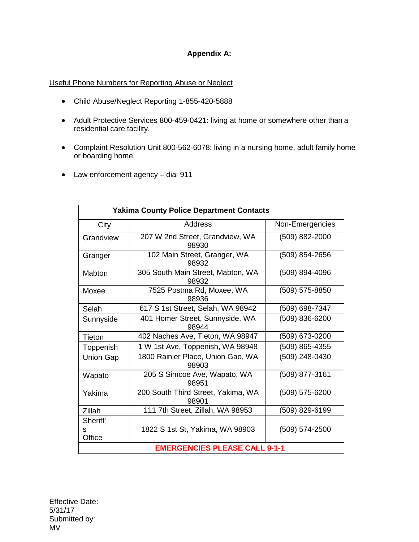## **Appendix A:**

#### Useful Phone Numbers for Reporting Abuse or Neglect

- Child Abuse/Neglect Reporting 1-855-420-5888
- Adult Protective Services 800-459-0421: living at home or somewhere other than a residential care facility.
- Complaint Resolution Unit 800-562-6078: living in a nursing home, adult family home or boarding home.
- Law enforcement agency dial 911

| <b>Yakima County Police Department Contacts</b> |                                             |                 |
|-------------------------------------------------|---------------------------------------------|-----------------|
| City                                            | Address                                     | Non-Emergencies |
| Grandview                                       | 207 W 2nd Street, Grandview, WA<br>98930    | (509) 882-2000  |
| Granger                                         | 102 Main Street, Granger, WA<br>98932       | (509) 854-2656  |
| Mabton                                          | 305 South Main Street, Mabton, WA<br>98932  | (509) 894-4096  |
| Moxee                                           | 7525 Postma Rd, Moxee, WA<br>98936          | (509) 575-8850  |
| Selah                                           | 617 S 1st Street, Selah, WA 98942           | (509) 698-7347  |
| Sunnyside                                       | 401 Homer Street, Sunnyside, WA<br>98944    | (509) 836-6200  |
| Tieton                                          | 402 Naches Ave, Tieton, WA 98947            | (509) 673-0200  |
| Toppenish                                       | 1 W 1st Ave, Toppenish, WA 98948            | (509) 865-4355  |
| <b>Union Gap</b>                                | 1800 Rainier Place, Union Gao, WA<br>98903  | (509) 248-0430  |
| Wapato                                          | 205 S Simcoe Ave, Wapato, WA<br>98951       | (509) 877-3161  |
| Yakima                                          | 200 South Third Street, Yakima, WA<br>98901 | (509) 575-6200  |
| Zillah                                          | 111 7th Street, Zillah, WA 98953            | (509) 829-6199  |
| Sheriff'                                        |                                             |                 |
| s<br>Office                                     | 1822 S 1st St, Yakima, WA 98903             | (509) 574-2500  |
| <b>EMERGENCIES PLEASE CALL 9-1-1</b>            |                                             |                 |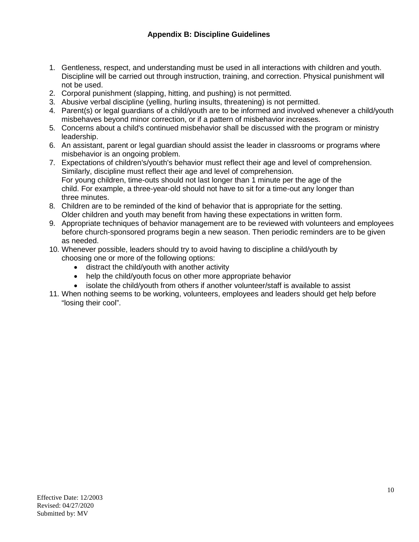- 1. Gentleness, respect, and understanding must be used in all interactions with children and youth. Discipline will be carried out through instruction, training, and correction. Physical punishment will not be used.
- 2. Corporal punishment (slapping, hitting, and pushing) is not permitted.
- 3. Abusive verbal discipline (yelling, hurling insults, threatening) is not permitted.
- 4. Parent(s) or legal guardians of a child/youth are to be informed and involved whenever a child/youth misbehaves beyond minor correction, or if a pattern of misbehavior increases.
- 5. Concerns about a child's continued misbehavior shall be discussed with the program or ministry leadership.
- 6. An assistant, parent or legal guardian should assist the leader in classrooms or programs where misbehavior is an ongoing problem.
- 7. Expectations of children's/youth's behavior must reflect their age and level of comprehension. Similarly, discipline must reflect their age and level of comprehension. For young children, time-outs should not last longer than 1 minute per the age of the child. For example, a three-year-old should not have to sit for a time-out any longer than three minutes.
- 8. Children are to be reminded of the kind of behavior that is appropriate for the setting. Older children and youth may benefit from having these expectations in written form.
- 9. Appropriate techniques of behavior management are to be reviewed with volunteers and employees before church-sponsored programs begin a new season. Then periodic reminders are to be given as needed.
- 10. Whenever possible, leaders should try to avoid having to discipline a child/youth by choosing one or more of the following options:
	- distract the child/youth with another activity
	- help the child/youth focus on other more appropriate behavior
	- isolate the child/youth from others if another volunteer/staff is available to assist
- 11. When nothing seems to be working, volunteers, employees and leaders should get help before "losing their cool".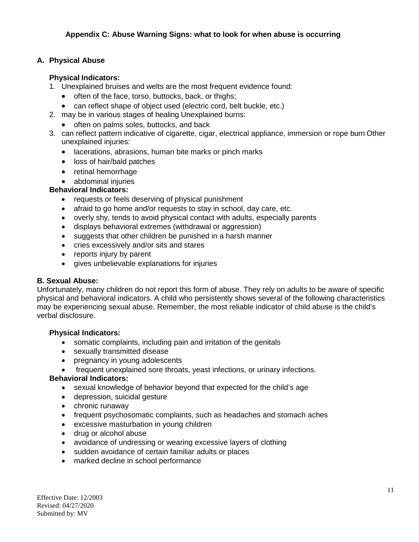## **A. Physical Abuse**

## **Physical Indicators:**

- 1. Unexplained bruises and welts are the most frequent evidence found:
	- often of the face, torso, buttocks, back, or thighs;
	- can reflect shape of object used (electric cord, belt buckle, etc.)
- 2. may be in various stages of healing Unexplained burns:
	- often on palms soles, buttocks, and back
- 3. can reflect pattern indicative of cigarette, cigar, electrical appliance, immersion or rope burn Other unexplained injuries:
	- lacerations, abrasions, human bite marks or pinch marks
	- loss of hair/bald patches
	- retinal hemorrhage
	- abdominal injuries

#### **Behavioral Indicators:**

- requests or feels deserving of physical punishment
- afraid to go home and/or requests to stay in school, day care, etc.
- overly shy, tends to avoid physical contact with adults, especially parents
- displays behavioral extremes (withdrawal or aggression)
- suggests that other children be punished in a harsh manner
- cries excessively and/or sits and stares
- reports injury by parent
- gives unbelievable explanations for injuries

#### **B. Sexual Abuse:**

Unfortunately, many children do not report this form of abuse. They rely on adults to be aware of specific physical and behavioral indicators. A child who persistently shows several of the following characteristics may be experiencing sexual abuse. Remember, the most reliable indicator of child abuse is the child's verbal disclosure.

#### **Physical Indicators:**

- somatic complaints, including pain and irritation of the genitals
- sexually transmitted disease
- pregnancy in young adolescents
- frequent unexplained sore throats, yeast infections, or urinary infections.

#### **Behavioral Indicators:**

- sexual knowledge of behavior beyond that expected for the child's age
- depression, suicidal gesture
- chronic runaway
- frequent psychosomatic complaints, such as headaches and stomach aches
- excessive masturbation in young children
- drug or alcohol abuse
- avoidance of undressing or wearing excessive layers of clothing
- sudden avoidance of certain familiar adults or places
- marked decline in school performance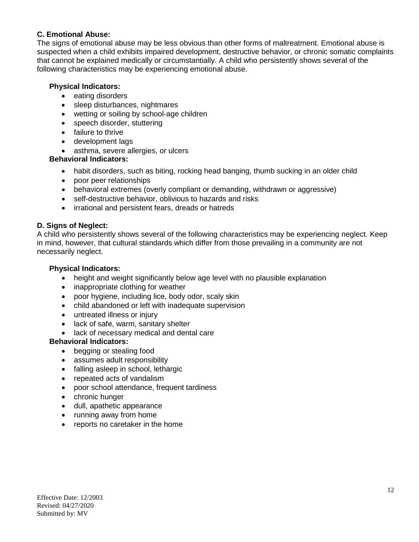## **C. Emotional Abuse:**

The signs of emotional abuse may be less obvious than other forms of maltreatment. Emotional abuse is suspected when a child exhibits impaired development, destructive behavior, or chronic somatic complaints that cannot be explained medically or circumstantially. A child who persistently shows several of the following characteristics may be experiencing emotional abuse.

#### **Physical Indicators:**

- eating disorders
- sleep disturbances, nightmares
- wetting or soiling by school-age children
- speech disorder, stuttering
- failure to thrive
- development lags
- asthma, severe allergies, or ulcers

## **Behavioral Indicators:**

- habit disorders, such as biting, rocking head banging, thumb sucking in an older child
- poor peer relationships
- behavioral extremes (overly compliant or demanding, withdrawn or aggressive)
- self-destructive behavior, oblivious to hazards and risks
- irrational and persistent fears, dreads or hatreds

#### **D. Signs of Neglect:**

A child who persistently shows several of the following characteristics may be experiencing neglect. Keep in mind, however, that cultural standards which differ from those prevailing in a community are not necessarily neglect.

#### **Physical Indicators:**

- height and weight significantly below age level with no plausible explanation
- inappropriate clothing for weather
- poor hygiene, including lice, body odor, scaly skin
- child abandoned or left with inadequate supervision
- untreated illness or injury
- lack of safe, warm, sanitary shelter
- lack of necessary medical and dental care

## **Behavioral Indicators:**

- begging or stealing food
- assumes adult responsibility
- falling asleep in school, lethargic
- repeated acts of vandalism
- poor school attendance, frequent tardiness
- chronic hunger
- dull, apathetic appearance
- running away from home
- reports no caretaker in the home